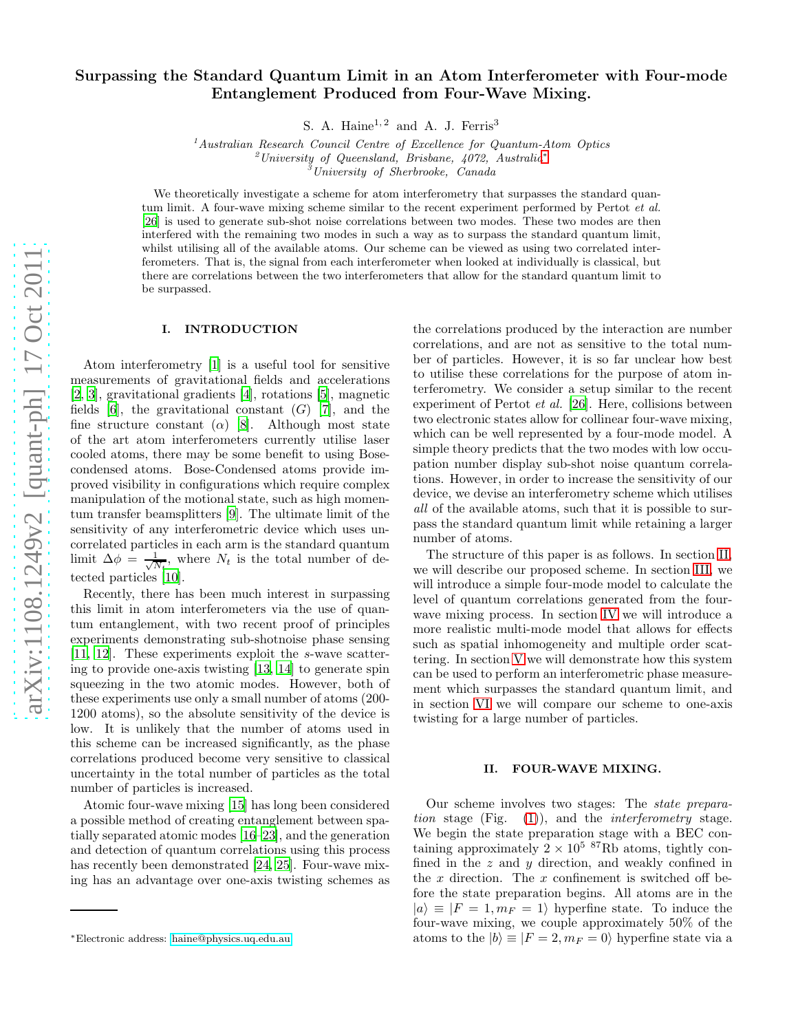# Surpassing the Standard Quantum Limit in an Atom Interferometer with Four-mode Entanglement Produced from Four-Wave Mixing.

S. A. Haine<sup>1, 2</sup> and A. J. Ferris<sup>3</sup>

 $1$ <sup>1</sup>Australian Research Council Centre of Excellence for Quantum-Atom Optics  $^{2}$ University of Queensland, Brisbane, 4072, Australia<sup>\*</sup>  $3$ University of Sherbrooke, Canada

We theoretically investigate a scheme for atom interferometry that surpasses the standard quantum limit. A four-wave mixing scheme similar to the recent experiment performed by Pertot et al. [\[26](#page-6-0)] is used to generate sub-shot noise correlations between two modes. These two modes are then interfered with the remaining two modes in such a way as to surpass the standard quantum limit, whilst utilising all of the available atoms. Our scheme can be viewed as using two correlated interferometers. That is, the signal from each interferometer when looked at individually is classical, but there are correlations between the two interferometers that allow for the standard quantum limit to be surpassed.

# I. INTRODUCTION

Atom interferometry [\[1](#page-6-1)] is a useful tool for sensitive measurements of gravitational fields and accelerations [\[2,](#page-6-2) [3\]](#page-6-3), gravitational gradients [\[4\]](#page-6-4), rotations [\[5\]](#page-6-5), magnetic fields [\[6](#page-6-6)], the gravitational constant  $(G)$  [\[7](#page-6-7)], and the fine structure constant ( $\alpha$ ) [\[8](#page-6-8)]. Although most state of the art atom interferometers currently utilise laser cooled atoms, there may be some benefit to using Bosecondensed atoms. Bose-Condensed atoms provide improved visibility in configurations which require complex manipulation of the motional state, such as high momentum transfer beamsplitters [\[9\]](#page-6-9). The ultimate limit of the sensitivity of any interferometric device which uses uncorrelated particles in each arm is the standard quantum limit  $\Delta \phi = \frac{1}{\sqrt{N_t}}$ , where  $N_t$  is the total number of detected particles [\[10\]](#page-6-10).

Recently, there has been much interest in surpassing this limit in atom interferometers via the use of quantum entanglement, with two recent proof of principles experiments demonstrating sub-shotnoise phase sensing [\[11,](#page-6-11) [12\]](#page-6-12). These experiments exploit the s-wave scattering to provide one-axis twisting [\[13](#page-6-13), [14](#page-6-14)] to generate spin squeezing in the two atomic modes. However, both of these experiments use only a small number of atoms (200- 1200 atoms), so the absolute sensitivity of the device is low. It is unlikely that the number of atoms used in this scheme can be increased significantly, as the phase correlations produced become very sensitive to classical uncertainty in the total number of particles as the total number of particles is increased.

Atomic four-wave mixing [\[15\]](#page-6-15) has long been considered a possible method of creating entanglement between spatially separated atomic modes [\[16](#page-6-16)[–23\]](#page-6-17), and the generation and detection of quantum correlations using this process has recently been demonstrated [\[24,](#page-6-18) [25](#page-6-19)]. Four-wave mixing has an advantage over one-axis twisting schemes as

the correlations produced by the interaction are number correlations, and are not as sensitive to the total number of particles. However, it is so far unclear how best to utilise these correlations for the purpose of atom interferometry. We consider a setup similar to the recent experiment of Pertot et al. [\[26](#page-6-0)]. Here, collisions between two electronic states allow for collinear four-wave mixing, which can be well represented by a four-mode model. A simple theory predicts that the two modes with low occupation number display sub-shot noise quantum correlations. However, in order to increase the sensitivity of our device, we devise an interferometry scheme which utilises all of the available atoms, such that it is possible to surpass the standard quantum limit while retaining a larger number of atoms.

The structure of this paper is as follows. In section [II,](#page-0-1) we will describe our proposed scheme. In section [III,](#page-1-0) we will introduce a simple four-mode model to calculate the level of quantum correlations generated from the fourwave mixing process. In section [IV](#page-2-0) we will introduce a more realistic multi-mode model that allows for effects such as spatial inhomogeneity and multiple order scattering. In section [V](#page-4-0) we will demonstrate how this system can be used to perform an interferometric phase measurement which surpasses the standard quantum limit, and in section [VI](#page-5-0) we will compare our scheme to one-axis twisting for a large number of particles.

### <span id="page-0-1"></span>II. FOUR-WAVE MIXING.

Our scheme involves two stages: The state preparation stage (Fig.  $(1)$ ), and the *interferometry* stage. We begin the state preparation stage with a BEC containing approximately  $2 \times 10^{5}$  <sup>87</sup>Rb atoms, tightly confined in the  $z$  and  $y$  direction, and weakly confined in the  $x$  direction. The  $x$  confinement is switched off before the state preparation begins. All atoms are in the  $|a\rangle \equiv |F = 1, m_F = 1\rangle$  hyperfine state. To induce the four-wave mixing, we couple approximately 50% of the atoms to the  $|b\rangle \equiv |F = 2, m_F = 0\rangle$  hyperfine state via a

<span id="page-0-0"></span><sup>∗</sup>Electronic address: [haine@physics.uq.edu.au](mailto:haine@physics.uq.edu.au)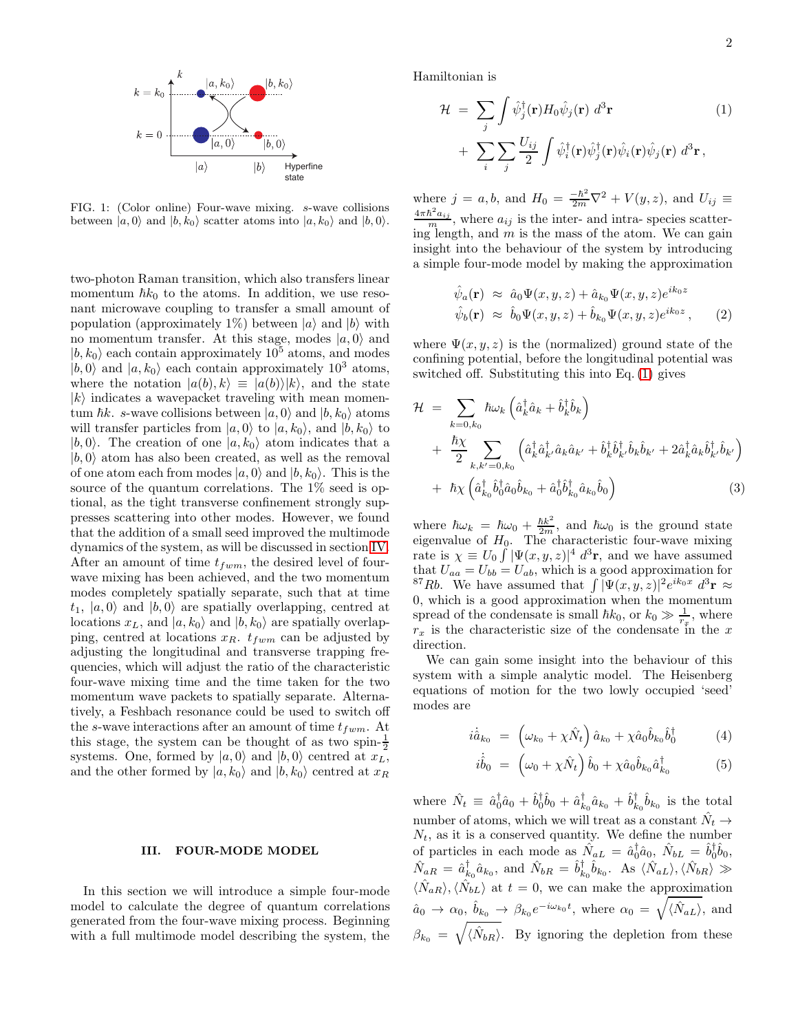

<span id="page-1-1"></span>FIG. 1: (Color online) Four-wave mixing. s-wave collisions between  $|a, 0\rangle$  and  $|b, k_0\rangle$  scatter atoms into  $|a, k_0\rangle$  and  $|b, 0\rangle$ .

two-photon Raman transition, which also transfers linear momentum  $\hbar k_0$  to the atoms. In addition, we use resonant microwave coupling to transfer a small amount of population (approximately 1%) between  $|a\rangle$  and  $|b\rangle$  with no momentum transfer. At this stage, modes  $|a, 0\rangle$  and  $|b, k_0\rangle$  each contain approximately  $10^5$  atoms, and modes  $|b, 0\rangle$  and  $|a, k_0\rangle$  each contain approximately 10<sup>3</sup> atoms, where the notation  $|a(b), k\rangle \equiv |a(b)\rangle |k\rangle$ , and the state  $|k\rangle$  indicates a wavepacket traveling with mean momentum  $\hbar k$ . s-wave collisions between  $|a, 0\rangle$  and  $|b, k_0\rangle$  atoms will transfer particles from  $|a, 0\rangle$  to  $|a, k_0\rangle$ , and  $|b, k_0\rangle$  to  $|b, 0\rangle$ . The creation of one  $|a, k_0\rangle$  atom indicates that a  $|b, 0\rangle$  atom has also been created, as well as the removal of one atom each from modes  $|a, 0\rangle$  and  $|b, k_0\rangle$ . This is the source of the quantum correlations. The 1% seed is optional, as the tight transverse confinement strongly suppresses scattering into other modes. However, we found that the addition of a small seed improved the multimode dynamics of the system, as will be discussed in section [IV.](#page-2-0) After an amount of time  $t_{fwm}$ , the desired level of fourwave mixing has been achieved, and the two momentum modes completely spatially separate, such that at time  $t_1$ ,  $|a, 0\rangle$  and  $|b, 0\rangle$  are spatially overlapping, centred at locations  $x_L$ , and  $|a, k_0\rangle$  and  $|b, k_0\rangle$  are spatially overlapping, centred at locations  $x_R$ .  $t_{fwm}$  can be adjusted by adjusting the longitudinal and transverse trapping frequencies, which will adjust the ratio of the characteristic four-wave mixing time and the time taken for the two momentum wave packets to spatially separate. Alternatively, a Feshbach resonance could be used to switch off the s-wave interactions after an amount of time  $t_{fwm}$ . At this stage, the system can be thought of as two spin- $\frac{1}{2}$ systems. One, formed by  $|a, 0\rangle$  and  $|b, 0\rangle$  centred at  $x_L$ , and the other formed by  $|a, k_0\rangle$  and  $|b, k_0\rangle$  centred at  $x_R$ 

### <span id="page-1-0"></span>III. FOUR-MODE MODEL

In this section we will introduce a simple four-mode model to calculate the degree of quantum correlations generated from the four-wave mixing process. Beginning with a full multimode model describing the system, the

Hamiltonian is

<span id="page-1-2"></span>
$$
\mathcal{H} = \sum_{j} \int \hat{\psi}_{j}^{\dagger}(\mathbf{r}) H_{0} \hat{\psi}_{j}(\mathbf{r}) d^{3} \mathbf{r}
$$
\n
$$
+ \sum_{i} \sum_{j} \frac{U_{ij}}{2} \int \hat{\psi}_{i}^{\dagger}(\mathbf{r}) \hat{\psi}_{j}^{\dagger}(\mathbf{r}) \hat{\psi}_{i}(\mathbf{r}) \hat{\psi}_{j}(\mathbf{r}) d^{3} \mathbf{r},
$$
\n(1)

where  $j = a, b$ , and  $H_0 = \frac{-\hbar^2}{2m}\nabla^2 + V(y, z)$ , and  $U_{ij} \equiv$  $\frac{4\pi\hbar^2 a_{ij}}{m}$ , where  $a_{ij}$  is the inter- and intra-species scattering length, and  $m$  is the mass of the atom. We can gain insight into the behaviour of the system by introducing a simple four-mode model by making the approximation

<span id="page-1-5"></span>
$$
\hat{\psi}_a(\mathbf{r}) \approx \hat{a}_0 \Psi(x, y, z) + \hat{a}_{k_0} \Psi(x, y, z) e^{ik_0 z} \n\hat{\psi}_b(\mathbf{r}) \approx \hat{b}_0 \Psi(x, y, z) + \hat{b}_{k_0} \Psi(x, y, z) e^{ik_0 z},
$$
\n(2)

where  $\Psi(x, y, z)$  is the (normalized) ground state of the confining potential, before the longitudinal potential was switched off. Substituting this into Eq. [\(1\)](#page-1-2) gives

<span id="page-1-4"></span>
$$
\mathcal{H} = \sum_{k=0,k_0} \hbar \omega_k \left( \hat{a}_k^{\dagger} \hat{a}_k + \hat{b}_k^{\dagger} \hat{b}_k \right) \n+ \frac{\hbar \chi}{2} \sum_{k,k'=0,k_0} \left( \hat{a}_k^{\dagger} \hat{a}_k^{\dagger} \hat{a}_k \hat{a}_{k'} + \hat{b}_k^{\dagger} \hat{b}_k^{\dagger} \hat{b}_k \hat{b}_{k'} + 2 \hat{a}_k^{\dagger} \hat{a}_k \hat{b}_k^{\dagger} \hat{b}_{k'} \right) \n+ \hbar \chi \left( \hat{a}_{k_0}^{\dagger} \hat{b}_0^{\dagger} \hat{a}_0 \hat{b}_{k_0} + \hat{a}_0^{\dagger} \hat{b}_{k_0}^{\dagger} \hat{a}_{k_0} \hat{b}_0 \right)
$$
\n(3)

where  $\hbar \omega_k = \hbar \omega_0 + \frac{\hbar k^2}{2m}$ , and  $\hbar \omega_0$  is the ground state eigenvalue of  $H_0$ . The characteristic four-wave mixing rate is  $\chi \equiv U_0 \int |\Psi(x, y, z)|^4 d^3 \mathbf{r}$ , and we have assumed that  $U_{aa} = U_{bb} = U_{ab}$ , which is a good approximation for <sup>87</sup>Rb. We have assumed that  $\int |\Psi(x, y, z)|^2 e^{ik_0x} d^3\mathbf{r} \approx$ 0, which is a good approximation when the momentum spread of the condensate is small  $\hbar k_0$ , or  $k_0 \gg \frac{1}{r_x}$ , where  $r_x$  is the characteristic size of the condensate in the x direction.

We can gain some insight into the behaviour of this system with a simple analytic model. The Heisenberg equations of motion for the two lowly occupied 'seed' modes are

<span id="page-1-3"></span>
$$
i\dot{\hat{a}}_{k_0} = \left(\omega_{k_0} + \chi \hat{N}_t\right) \hat{a}_{k_0} + \chi \hat{a}_0 \hat{b}_{k_0} \hat{b}_0^\dagger \tag{4}
$$

$$
\dot{\hat{b}}_0 = \left(\omega_0 + \chi \hat{N}_t\right) \hat{b}_0 + \chi \hat{a}_0 \hat{b}_{k_0} \hat{a}_{k_0}^\dagger \tag{5}
$$

where  $\hat{N}_t \equiv \hat{a}_0^{\dagger} \hat{a}_0 + \hat{b}_0^{\dagger} \hat{b}_0 + \hat{a}_{k_0}^{\dagger} \hat{a}_{k_0} + \hat{b}_{k_0}^{\dagger} \hat{b}_{k_0}$  is the total number of atoms, which we will treat as a constant  $\hat{N}_t \rightarrow$  $N_t$ , as it is a conserved quantity. We define the number of particles in each mode as  $\hat{N}_{aL} = \hat{a}_0^{\dagger} \hat{a}_0, \ \hat{N}_{bL} = \hat{b}_0^{\dagger} \hat{b}_0,$  $\hat{N}_{aR} = \hat{a}_{k_0}^{\dagger} \hat{a}_{k_0}, \text{ and } \hat{N}_{bR} = \hat{b}_{k_0}^{\dagger} \hat{b}_{k_0}. \text{ As } \langle \hat{N}_{aL} \rangle, \langle \hat{N}_{bR} \rangle \gg$  $\langle \hat{N}_{aR} \rangle, \langle \hat{N}_{bL} \rangle$  at  $t = 0$ , we can make the approximation  $\hat{a}_0 \to \alpha_0$ ,  $\hat{b}_{k_0} \to \beta_{k_0} e^{-i\omega_{k_0}t}$ , where  $\alpha_0 = \sqrt{\langle \hat{N}_{aL} \rangle}$ , and  $\beta_{k_0} = \sqrt{\langle \hat{N}_{bR} \rangle}$ . By ignoring the depletion from these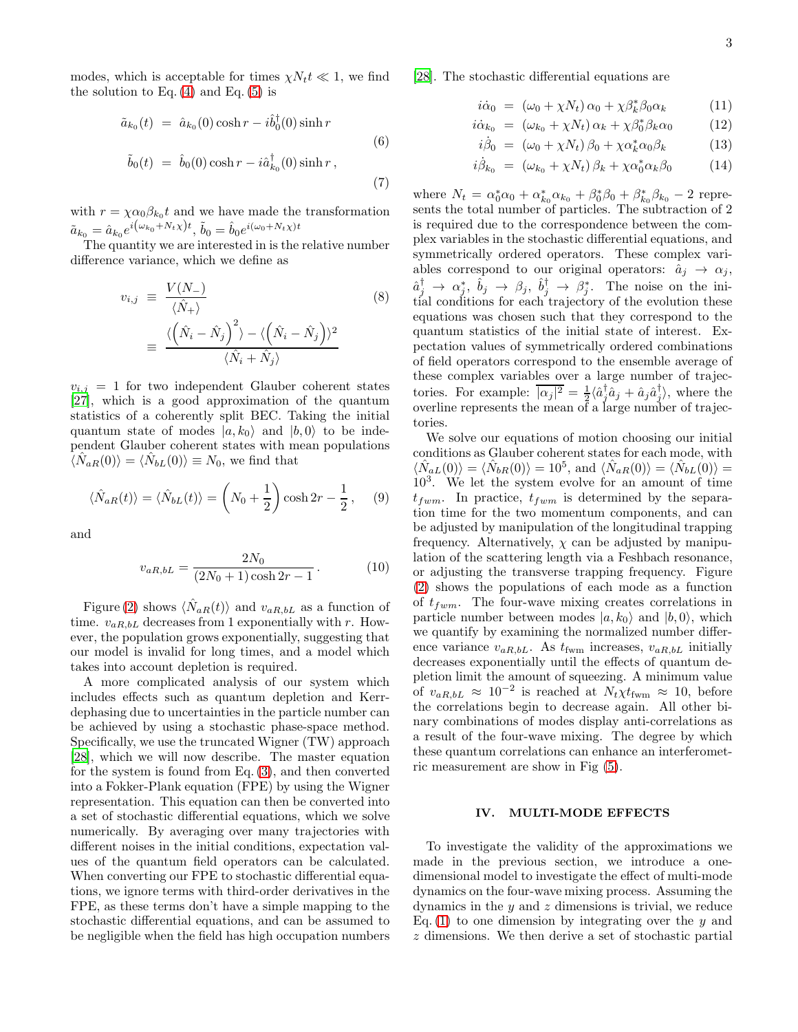modes, which is acceptable for times  $\chi N_t t \ll 1$ , we find the solution to Eq.  $(4)$  and Eq.  $(5)$  is

$$
\tilde{a}_{k_0}(t) = \hat{a}_{k_0}(0) \cosh r - i \hat{b}_0^{\dagger}(0) \sinh r
$$
\n
$$
\tilde{b}_0(t) = \hat{b}_0(0) \cosh r - i \hat{a}_{k_0}^{\dagger}(0) \sinh r,
$$
\n(7)

with  $r = \chi \alpha_0 \beta_{k_0} t$  and we have made the transformation  $\tilde{a}_{k_0} = \hat{a}_{k_0} e^{i(\omega_{k_0} + N_t \chi)t}, \, \tilde{b}_0 = \hat{b}_0 e^{i(\omega_0 + N_t \chi)t}$ 

The quantity we are interested in is the relative number difference variance, which we define as

$$
v_{i,j} \equiv \frac{V(N_{-})}{\langle \hat{N}_{+} \rangle} \tag{8}
$$

$$
\equiv \frac{\langle (\hat{N}_{i} - \hat{N}_{j})^{2} \rangle - \langle (\hat{N}_{i} - \hat{N}_{j}) \rangle^{2}}{\langle \hat{N}_{i} + \hat{N}_{j} \rangle} \tag{8}
$$

 $v_{i,j} = 1$  for two independent Glauber coherent states [\[27\]](#page-6-20), which is a good approximation of the quantum statistics of a coherently split BEC. Taking the initial quantum state of modes  $|a, k_0\rangle$  and  $|b, 0\rangle$  to be independent Glauber coherent states with mean populations  $\langle \hat{N}_{aR}(0) \rangle = \langle \hat{N}_{bL}(0) \rangle \equiv N_0$ , we find that

$$
\langle \hat{N}_{aR}(t) \rangle = \langle \hat{N}_{bL}(t) \rangle = \left( N_0 + \frac{1}{2} \right) \cosh 2r - \frac{1}{2}, \quad (9)
$$

and

$$
v_{aR,bL} = \frac{2N_0}{(2N_0 + 1)\cosh 2r - 1}.
$$
 (10)

Figure [\(2\)](#page-3-0) shows  $\langle \hat{N}_{aR}(t) \rangle$  and  $v_{aR,bL}$  as a function of time.  $v_{aR,bL}$  decreases from 1 exponentially with r. However, the population grows exponentially, suggesting that our model is invalid for long times, and a model which takes into account depletion is required.

A more complicated analysis of our system which includes effects such as quantum depletion and Kerrdephasing due to uncertainties in the particle number can be achieved by using a stochastic phase-space method. Specifically, we use the truncated Wigner (TW) approach [\[28\]](#page-6-21), which we will now describe. The master equation for the system is found from Eq. [\(3\)](#page-1-4), and then converted into a Fokker-Plank equation (FPE) by using the Wigner representation. This equation can then be converted into a set of stochastic differential equations, which we solve numerically. By averaging over many trajectories with different noises in the initial conditions, expectation values of the quantum field operators can be calculated. When converting our FPE to stochastic differential equations, we ignore terms with third-order derivatives in the FPE, as these terms don't have a simple mapping to the stochastic differential equations, and can be assumed to be negligible when the field has high occupation numbers

[\[28\]](#page-6-21). The stochastic differential equations are

$$
i\dot{\alpha}_0 = (\omega_0 + \chi N_t) \alpha_0 + \chi \beta_k^* \beta_0 \alpha_k \qquad (11)
$$

$$
i\dot{\alpha}_{k_0} = (\omega_{k_0} + \chi N_t) \alpha_k + \chi \beta_0^* \beta_k \alpha_0 \qquad (12)
$$

$$
i\dot{\beta}_0 = (\omega_0 + \chi N_t) \beta_0 + \chi \alpha_k^* \alpha_0 \beta_k \tag{13}
$$

$$
i\dot{\beta}_{k_0} = (\omega_{k_0} + \chi N_t) \beta_k + \chi \alpha_0^* \alpha_k \beta_0 \qquad (14)
$$

where  $N_t = \alpha_0^* \alpha_0 + \alpha_{k_0}^* \alpha_{k_0} + \beta_0^* \beta_0 + \beta_{k_0}^* \beta_{k_0} - 2$  represents the total number of particles. The subtraction of 2 is required due to the correspondence between the complex variables in the stochastic differential equations, and symmetrically ordered operators. These complex variables correspond to our original operators:  $\hat{a}_j \rightarrow \alpha_j$ ,  $\hat{a}_j^{\dagger} \rightarrow \alpha_j^*, \hat{b}_j \rightarrow \beta_j, \hat{b}_j^{\dagger} \rightarrow \beta_j^*.$  The noise on the initial conditions for each trajectory of the evolution these equations was chosen such that they correspond to the quantum statistics of the initial state of interest. Expectation values of symmetrically ordered combinations of field operators correspond to the ensemble average of these complex variables over a large number of trajectories. For example:  $\overline{|\alpha_j|^2} = \frac{1}{2} \langle \hat{a}_j^{\dagger} \hat{a}_j + \hat{a}_j \hat{a}_j^{\dagger} \rangle$ , where the overline represents the mean of a large number of trajectories.

We solve our equations of motion choosing our initial conditions as Glauber coherent states for each mode, with  $\langle \hat{N}_{aL}(0) \rangle = \langle \hat{N}_{bR}(0) \rangle = 10^5$ , and  $\langle \hat{N}_{aR}(0) \rangle = \langle \hat{N}_{bL}(0) \rangle =$ 10<sup>3</sup> . We let the system evolve for an amount of time  $t_{fwm}$ . In practice,  $t_{fwm}$  is determined by the separation time for the two momentum components, and can be adjusted by manipulation of the longitudinal trapping frequency. Alternatively,  $\chi$  can be adjusted by manipulation of the scattering length via a Feshbach resonance, or adjusting the transverse trapping frequency. Figure [\(2\)](#page-3-0) shows the populations of each mode as a function of  $t_{fwm}$ . The four-wave mixing creates correlations in particle number between modes  $|a, k_0\rangle$  and  $|b, 0\rangle$ , which we quantify by examining the normalized number difference variance  $v_{aR,bL}$ . As  $t_{fwm}$  increases,  $v_{aR,bL}$  initially decreases exponentially until the effects of quantum depletion limit the amount of squeezing. A minimum value of  $v_{aR,bL} \approx 10^{-2}$  is reached at  $N_t \chi t_{\text{fwm}} \approx 10$ , before the correlations begin to decrease again. All other binary combinations of modes display anti-correlations as a result of the four-wave mixing. The degree by which these quantum correlations can enhance an interferometric measurement are show in Fig [\(5\)](#page-5-1).

## <span id="page-2-0"></span>IV. MULTI-MODE EFFECTS

To investigate the validity of the approximations we made in the previous section, we introduce a onedimensional model to investigate the effect of multi-mode dynamics on the four-wave mixing process. Assuming the dynamics in the  $y$  and  $z$  dimensions is trivial, we reduce Eq. [\(1\)](#page-1-2) to one dimension by integrating over the y and z dimensions. We then derive a set of stochastic partial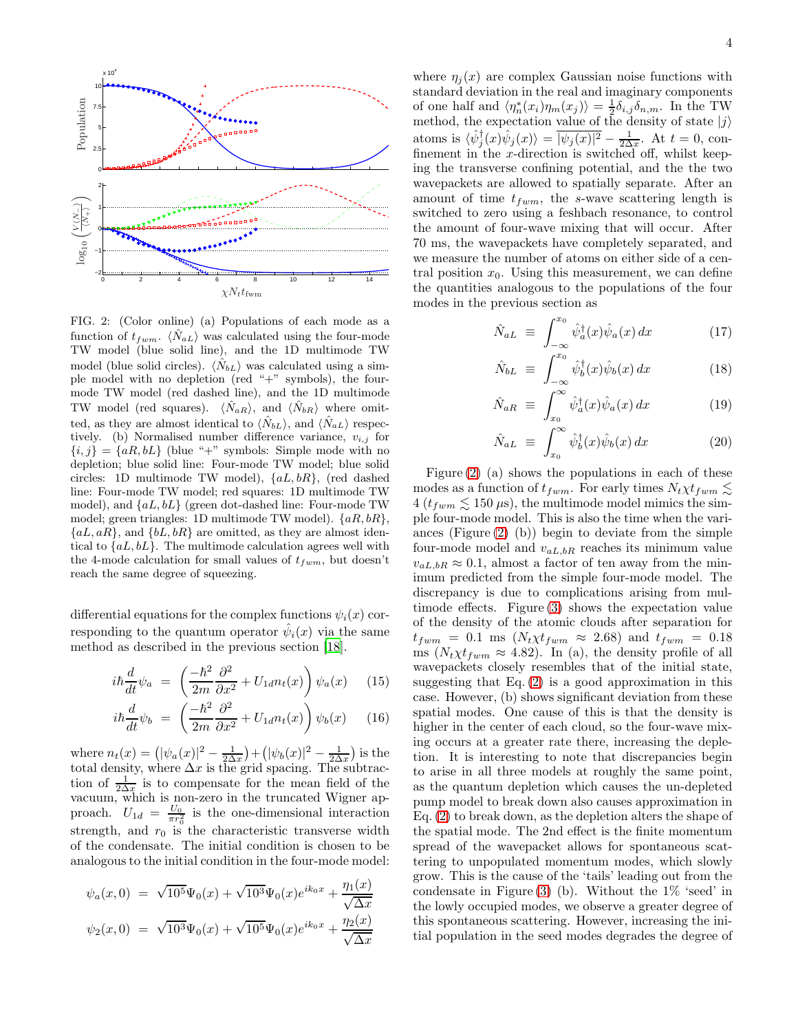

lacements

<span id="page-3-0"></span>FIG. 2: (Color online) (a) Populations of each mode as a function of  $t_{fwm}$ .  $\langle \hat{N}_{aL} \rangle$  was calculated using the four-mode TW model (blue solid line), and the 1D multimode TW model (blue solid circles).  $\langle N_{bL} \rangle$  was calculated using a simple model with no depletion (red "+" symbols), the fourmode TW model (red dashed line), and the 1D multimode TW model (red squares).  $\langle N_{aR} \rangle$ , and  $\langle N_{bR} \rangle$  where omitted, as they are almost identical to  $\langle N_{bL} \rangle$ , and  $\langle N_{aL} \rangle$  respectively. (b) Normalised number difference variance,  $v_{i,j}$  for  ${i, j} = {aR, bL}$  (blue "+" symbols: Simple mode with no depletion; blue solid line: Four-mode TW model; blue solid circles: 1D multimode TW model), {aL, bR}, (red dashed line: Four-mode TW model; red squares: 1D multimode TW model), and  ${aL, bL}$  (green dot-dashed line: Four-mode TW model; green triangles: 1D multimode TW model).  $\{aR, bR\}$ ,  ${aL, aR}$ , and  ${bL, bR}$  are omitted, as they are almost identical to  ${aL, bL}$ . The multimode calculation agrees well with the 4-mode calculation for small values of  $t_{fwm}$ , but doesn't reach the same degree of squeezing.

differential equations for the complex functions  $\psi_i(x)$  corresponding to the quantum operator  $\hat{\psi}_i(x)$  via the same method as described in the previous section [\[18\]](#page-6-22).

$$
i\hbar \frac{d}{dt}\psi_a = \left(\frac{-\hbar^2}{2m}\frac{\partial^2}{\partial x^2} + U_{1d}n_t(x)\right)\psi_a(x) \quad (15)
$$

$$
i\hbar \frac{d}{dt}\psi_b = \left(\frac{-\hbar^2}{2m}\frac{\partial^2}{\partial x^2} + U_{1d}n_t(x)\right)\psi_b(x) \quad (16)
$$

where  $n_t(x) = (|\psi_a(x)|^2 - \frac{1}{2\Delta x}) + (|\psi_b(x)|^2 - \frac{1}{2\Delta x})$  is the total density, where  $\Delta x$  is the grid spacing. The subtraction of  $\frac{1}{2\Delta x}$  is to compensate for the mean field of the vacuum, which is non-zero in the truncated Wigner approach.  $U_{1d} = \frac{U_0}{\pi r_0^2}$  is the one-dimensional interaction strength, and  $r_0$  is the characteristic transverse width of the condensate. The initial condition is chosen to be analogous to the initial condition in the four-mode model:

$$
\psi_a(x,0) = \sqrt{10^5} \Psi_0(x) + \sqrt{10^3} \Psi_0(x) e^{ik_0 x} + \frac{\eta_1(x)}{\sqrt{\Delta x}}
$$
  

$$
\psi_2(x,0) = \sqrt{10^3} \Psi_0(x) + \sqrt{10^5} \Psi_0(x) e^{ik_0 x} + \frac{\eta_2(x)}{\sqrt{\Delta x}}
$$

where  $\eta_j(x)$  are complex Gaussian noise functions with standard deviation in the real and imaginary components of one half and  $\langle \eta_n^*(x_i) \eta_m(x_j) \rangle = \frac{1}{2} \delta_{i,j} \delta_{n,m}$ . In the TW method, the expectation value of the density of state  $|j\rangle$ atoms is  $\langle \hat{\psi}_j^{\dagger}(x)\hat{\psi}_j(x)\rangle = \overline{|\psi_j(x)|^2} - \frac{1}{2\Delta x}$ . At  $t = 0$ , confinement in the  $x$ -direction is switched off, whilst keeping the transverse confining potential, and the the two wavepackets are allowed to spatially separate. After an amount of time  $t_{fwm}$ , the s-wave scattering length is switched to zero using a feshbach resonance, to control the amount of four-wave mixing that will occur. After 70 ms, the wavepackets have completely separated, and we measure the number of atoms on either side of a central position  $x_0$ . Using this measurement, we can define the quantities analogous to the populations of the four modes in the previous section as

 $\overline{1}$ 

$$
\hat{N}_{aL} \equiv \int_{-\infty}^{x_0} \hat{\psi}_a^{\dagger}(x)\hat{\psi}_a(x) dx \qquad (17)
$$

$$
\hat{N}_{bL} \equiv \int_{-\infty}^{x_0} \hat{\psi}_b^{\dagger}(x) \hat{\psi}_b(x) dx \qquad (18)
$$

$$
\hat{N}_{aR} \equiv \int_{x_0}^{\infty} \hat{\psi}_a^{\dagger}(x)\hat{\psi}_a(x) dx \qquad (19)
$$

$$
\hat{N}_{aL} \equiv \int_{x_0}^{\infty} \hat{\psi}_b^{\dagger}(x) \hat{\psi}_b(x) dx \qquad (20)
$$

Figure  $(2)$  (a) shows the populations in each of these modes as a function of  $t_{fwm}$ . For early times  $N_t \chi t_{fwm} \lesssim$  $4 (t_{fwm} \leq 150 \,\mu s)$ , the multimode model mimics the simple four-mode model. This is also the time when the variances (Figure  $(2)$  (b)) begin to deviate from the simple four-mode model and  $v_{aL,bR}$  reaches its minimum value  $v_{aL,bR} \approx 0.1$ , almost a factor of ten away from the minimum predicted from the simple four-mode model. The discrepancy is due to complications arising from multimode effects. Figure [\(3\)](#page-4-1) shows the expectation value of the density of the atomic clouds after separation for  $t_{fwm} = 0.1$  ms  $(N_t \chi t_{fwm} \approx 2.68)$  and  $t_{fwm} = 0.18$ ms  $(N_t \chi t_{fwm} \approx 4.82)$ . In (a), the density profile of all wavepackets closely resembles that of the initial state, suggesting that Eq.  $(2)$  is a good approximation in this case. However, (b) shows significant deviation from these spatial modes. One cause of this is that the density is higher in the center of each cloud, so the four-wave mixing occurs at a greater rate there, increasing the depletion. It is interesting to note that discrepancies begin to arise in all three models at roughly the same point, as the quantum depletion which causes the un-depleted pump model to break down also causes approximation in Eq. [\(2\)](#page-1-5) to break down, as the depletion alters the shape of the spatial mode. The 2nd effect is the finite momentum spread of the wavepacket allows for spontaneous scattering to unpopulated momentum modes, which slowly grow. This is the cause of the 'tails' leading out from the condensate in Figure  $(3)$  (b). Without the  $1\%$  'seed' in the lowly occupied modes, we observe a greater degree of this spontaneous scattering. However, increasing the initial population in the seed modes degrades the degree of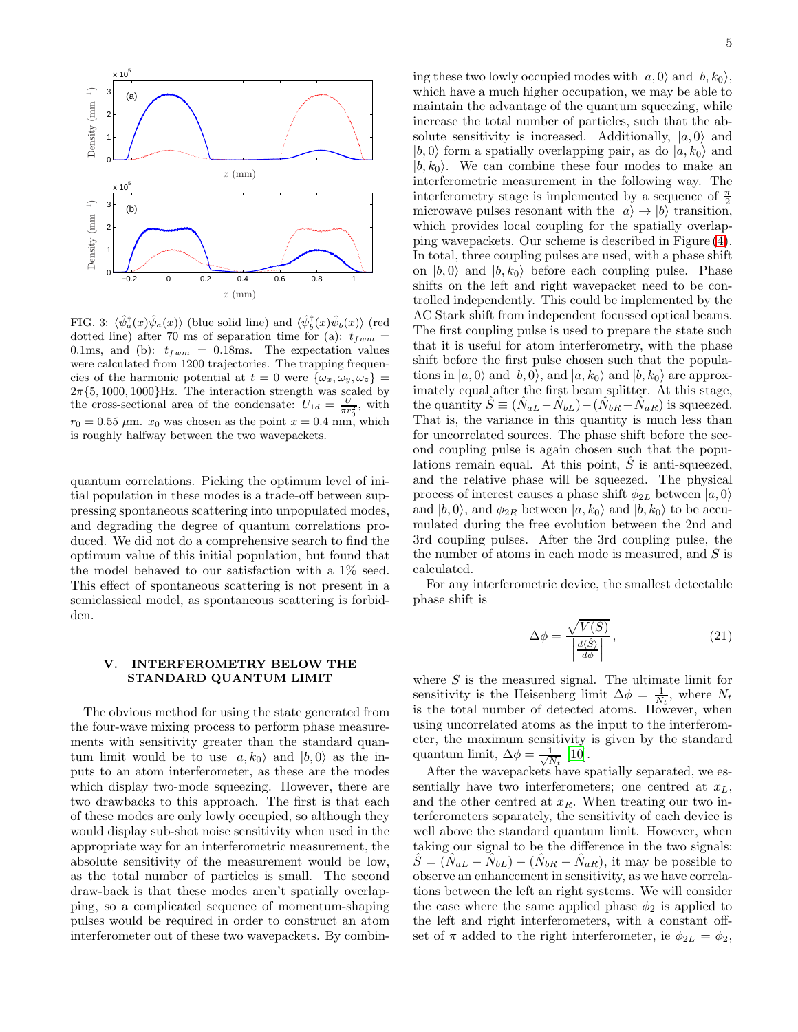

<span id="page-4-1"></span>FIG. 3:  $\langle \hat{\psi}_a^{\dagger}(x)\hat{\psi}_a(x)\rangle$  (blue solid line) and  $\langle \hat{\psi}_b^{\dagger}(x)\hat{\psi}_b(x)\rangle$  (red dotted line) after 70 ms of separation time for (a):  $t_{fwm}$  = 0.1ms, and (b):  $t_{fwm} = 0.18$ ms. The expectation values were calculated from 1200 trajectories. The trapping frequencies of the harmonic potential at  $t = 0$  were  $\{\omega_x, \omega_y, \omega_z\}$  $2\pi\{5, 1000, 1000\}$ Hz. The interaction strength was scaled by the cross-sectional area of the condensate:  $U_{1d} = \frac{U}{\pi r_0^2}$ , with  $r_0 = 0.55 \mu \text{m}$ .  $x_0$  was chosen as the point  $x = 0.4 \text{ mm}$ , which is roughly halfway between the two wavepackets.

quantum correlations. Picking the optimum level of initial population in these modes is a trade-off between suppressing spontaneous scattering into unpopulated modes, and degrading the degree of quantum correlations produced. We did not do a comprehensive search to find the optimum value of this initial population, but found that the model behaved to our satisfaction with a 1% seed. This effect of spontaneous scattering is not present in a semiclassical model, as spontaneous scattering is forbidden.

# <span id="page-4-0"></span>V. INTERFEROMETRY BELOW THE STANDARD QUANTUM LIMIT

The obvious method for using the state generated from the four-wave mixing process to perform phase measurements with sensitivity greater than the standard quantum limit would be to use  $|a, k_0\rangle$  and  $|b, 0\rangle$  as the inputs to an atom interferometer, as these are the modes which display two-mode squeezing. However, there are two drawbacks to this approach. The first is that each of these modes are only lowly occupied, so although they would display sub-shot noise sensitivity when used in the appropriate way for an interferometric measurement, the absolute sensitivity of the measurement would be low, as the total number of particles is small. The second draw-back is that these modes aren't spatially overlapping, so a complicated sequence of momentum-shaping pulses would be required in order to construct an atom interferometer out of these two wavepackets. By combining these two lowly occupied modes with  $|a, 0\rangle$  and  $|b, k_0\rangle$ , which have a much higher occupation, we may be able to maintain the advantage of the quantum squeezing, while increase the total number of particles, such that the absolute sensitivity is increased. Additionally,  $|a, 0\rangle$  and  $|b, 0\rangle$  form a spatially overlapping pair, as do  $|a, k_0\rangle$  and  $|b, k_0\rangle$ . We can combine these four modes to make an interferometric measurement in the following way. The interferometry stage is implemented by a sequence of  $\frac{\pi}{2}$ microwave pulses resonant with the  $|a\rangle \rightarrow |b\rangle$  transition, which provides local coupling for the spatially overlapping wavepackets. Our scheme is described in Figure [\(4\)](#page-5-2). In total, three coupling pulses are used, with a phase shift on  $|b, 0\rangle$  and  $|b, k_0\rangle$  before each coupling pulse. Phase shifts on the left and right wavepacket need to be controlled independently. This could be implemented by the AC Stark shift from independent focussed optical beams. The first coupling pulse is used to prepare the state such that it is useful for atom interferometry, with the phase shift before the first pulse chosen such that the populations in  $|a, 0\rangle$  and  $|b, 0\rangle$ , and  $|a, k_0\rangle$  and  $|b, k_0\rangle$  are approximately equal after the first beam splitter. At this stage, the quantity  $\hat{S} \equiv (\hat{N}_{aL} - \hat{N}_{bL}) - (\hat{N}_{bR} - \hat{N}_{aR})$  is squeezed. That is, the variance in this quantity is much less than for uncorrelated sources. The phase shift before the second coupling pulse is again chosen such that the populations remain equal. At this point,  $\hat{S}$  is anti-squeezed, and the relative phase will be squeezed. The physical process of interest causes a phase shift  $\phi_{2L}$  between  $|a, 0\rangle$ and  $|b, 0\rangle$ , and  $\phi_{2R}$  between  $|a, k_0\rangle$  and  $|b, k_0\rangle$  to be accumulated during the free evolution between the 2nd and 3rd coupling pulses. After the 3rd coupling pulse, the the number of atoms in each mode is measured, and S is calculated.

For any interferometric device, the smallest detectable phase shift is

$$
\Delta \phi = \frac{\sqrt{V(S)}}{\left|\frac{d\langle \hat{S} \rangle}{d\phi}\right|},\tag{21}
$$

where  $S$  is the measured signal. The ultimate limit for sensitivity is the Heisenberg limit  $\Delta \phi = \frac{1}{N_t}$ , where  $N_t$ is the total number of detected atoms. However, when using uncorrelated atoms as the input to the interferometer, the maximum sensitivity is given by the standard quantum limit,  $\Delta \phi = \frac{1}{\sqrt{N_t}}$  [\[10\]](#page-6-10).

After the wavepackets have spatially separated, we essentially have two interferometers; one centred at  $x_L$ , and the other centred at  $x_R$ . When treating our two interferometers separately, the sensitivity of each device is well above the standard quantum limit. However, when taking our signal to be the difference in the two signals:  $\hat{S} = (\hat{N}_{aL} - \hat{N}_{bL}) - (\hat{N}_{bR} - \hat{N}_{aR}),$  it may be possible to observe an enhancement in sensitivity, as we have correlations between the left an right systems. We will consider the case where the same applied phase  $\phi_2$  is applied to the left and right interferometers, with a constant offset of  $\pi$  added to the right interferometer, ie  $\phi_{2L} = \phi_2$ ,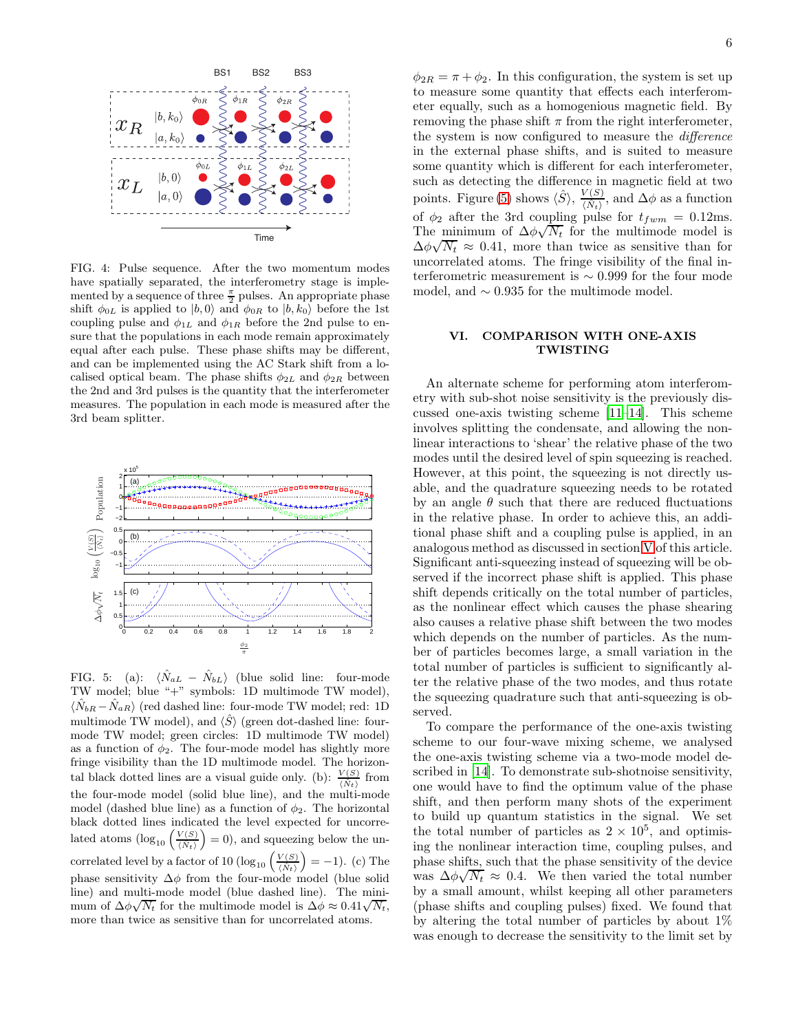

<span id="page-5-2"></span>FIG. 4: Pulse sequence. After the two momentum modes have spatially separated, the interferometry stage is implemented by a sequence of three  $\frac{\pi}{2}$  pulses. An appropriate phase shift  $\phi_{0L}$  is applied to  $|b, 0\rangle$  and  $\phi_{0R}$  to  $|b, k_0\rangle$  before the 1st coupling pulse and  $\phi_{1L}$  and  $\phi_{1R}$  before the 2nd pulse to ensure that the populations in each mode remain approximately equal after each pulse. These phase shifts may be different, and can be implemented using the AC Stark shift from a localised optical beam. The phase shifts  $\phi_{2L}$  and  $\phi_{2R}$  between the 2nd and 3rd pulses is the quantity that the interferometer measures. The population in each mode is measured after the 3rd beam splitter.



<span id="page-5-1"></span>FIG. 5: (a):  $\langle \hat{N}_{aL} - \hat{N}_{bL} \rangle$  (blue solid line: four-mode TW model; blue "+" symbols: 1D multimode TW model),  $\langle \hat{N}_{bR} - \hat{N}_{aR} \rangle$  (red dashed line: four-mode TW model; red: 1D multimode TW model), and  $\langle \hat{S} \rangle$  (green dot-dashed line: fourmode TW model; green circles: 1D multimode TW model) as a function of  $\phi_2$ . The four-mode model has slightly more fringe visibility than the 1D multimode model. The horizontal black dotted lines are a visual guide only. (b):  $\frac{V(S)}{\langle \dot{N}_t \rangle}$  from the four-mode model (solid blue line), and the multi-mode model (dashed blue line) as a function of  $\phi_2$ . The horizontal black dotted lines indicated the level expected for uncorrelated atoms  $(\log_{10} \left( \frac{V(S)}{\langle \hat{N}_t \rangle} \right) = 0)$ , and squeezing below the uncorrelated level by a factor of 10 ( $log_{10} \left( \frac{V(S)}{\langle \hat{N}_t \rangle} \right) = -1$ ). (c) The phase sensitivity  $\Delta \phi$  from the four-mode model (blue solid line) and multi-mode model (blue dashed line). The minimum of  $\Delta \phi \sqrt{N_t}$  for the multimode model is  $\Delta \phi \approx 0.41 \sqrt{N_t}$ , more than twice as sensitive than for uncorrelated atoms.

 $\phi_{2R} = \pi + \phi_2$ . In this configuration, the system is set up to measure some quantity that effects each interferometer equally, such as a homogenious magnetic field. By removing the phase shift  $\pi$  from the right interferometer, the system is now configured to measure the difference in the external phase shifts, and is suited to measure some quantity which is different for each interferometer, such as detecting the difference in magnetic field at two points. Figure [\(5\)](#page-5-1) shows  $\langle \hat{S} \rangle$ ,  $\frac{V(S)}{\langle \hat{N}_t \rangle}$ , and  $\Delta \phi$  as a function of  $\phi_2$  after the 3rd coupling pulse for  $t_{fwm} = 0.12$ ms. The minimum of  $\Delta \phi \sqrt{N_t}$  for the multimode model is  $\Delta\phi\sqrt{N_t} \approx 0.41$ , more than twice as sensitive than for uncorrelated atoms. The fringe visibility of the final interferometric measurement is ∼ 0.999 for the four mode model, and  $\sim 0.935$  for the multimode model.

# <span id="page-5-0"></span>VI. COMPARISON WITH ONE-AXIS TWISTING

An alternate scheme for performing atom interferometry with sub-shot noise sensitivity is the previously discussed one-axis twisting scheme [\[11](#page-6-11)[–14\]](#page-6-14). This scheme involves splitting the condensate, and allowing the nonlinear interactions to 'shear' the relative phase of the two modes until the desired level of spin squeezing is reached. However, at this point, the squeezing is not directly usable, and the quadrature squeezing needs to be rotated by an angle  $\theta$  such that there are reduced fluctuations in the relative phase. In order to achieve this, an additional phase shift and a coupling pulse is applied, in an analogous method as discussed in section [V](#page-4-0) of this article. Significant anti-squeezing instead of squeezing will be observed if the incorrect phase shift is applied. This phase shift depends critically on the total number of particles, as the nonlinear effect which causes the phase shearing also causes a relative phase shift between the two modes which depends on the number of particles. As the number of particles becomes large, a small variation in the total number of particles is sufficient to significantly alter the relative phase of the two modes, and thus rotate the squeezing quadrature such that anti-squeezing is observed.

To compare the performance of the one-axis twisting scheme to our four-wave mixing scheme, we analysed the one-axis twisting scheme via a two-mode model described in [\[14\]](#page-6-14). To demonstrate sub-shotnoise sensitivity, one would have to find the optimum value of the phase shift, and then perform many shots of the experiment to build up quantum statistics in the signal. We set the total number of particles as  $2 \times 10^5$ , and optimising the nonlinear interaction time, coupling pulses, and phase shifts, such that the phase sensitivity of the device was  $\Delta \phi \sqrt{N_t} \approx 0.4$ . We then varied the total number by a small amount, whilst keeping all other parameters (phase shifts and coupling pulses) fixed. We found that by altering the total number of particles by about 1% was enough to decrease the sensitivity to the limit set by